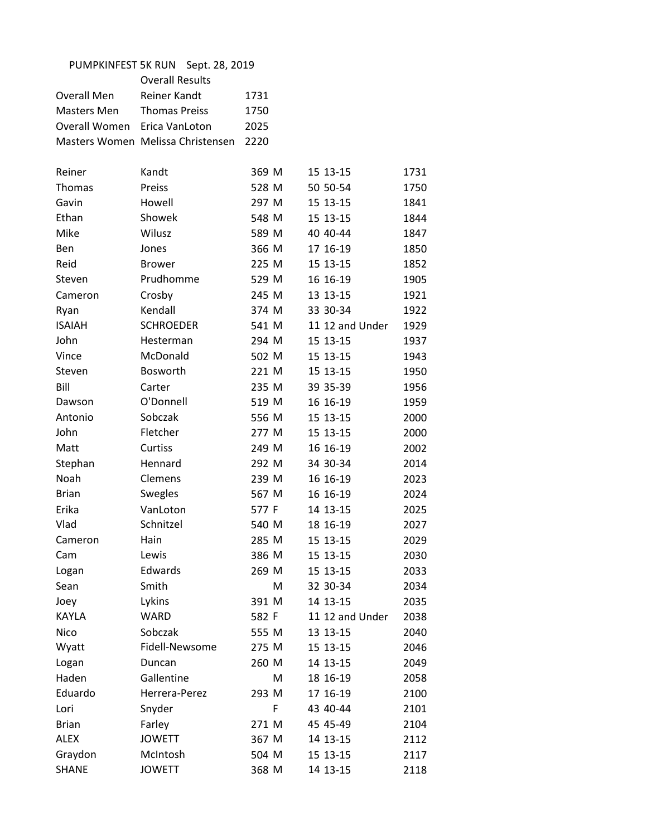| PUMPKINFEST 5K RUN<br>Sept. 28, 2019 |                                   |       |                 |      |
|--------------------------------------|-----------------------------------|-------|-----------------|------|
|                                      | <b>Overall Results</b>            |       |                 |      |
| Overall Men                          | Reiner Kandt                      | 1731  |                 |      |
| Masters Men                          | <b>Thomas Preiss</b>              | 1750  |                 |      |
| Overall Women                        | Erica VanLoton                    | 2025  |                 |      |
|                                      | Masters Women Melissa Christensen | 2220  |                 |      |
|                                      |                                   |       |                 |      |
| Reiner                               | Kandt                             | 369 M | 15 13-15        | 1731 |
| Thomas                               | Preiss                            | 528 M | 50 50-54        | 1750 |
| Gavin                                | Howell                            | 297 M | 15 13-15        | 1841 |
| Ethan                                | Showek                            | 548 M | 15 13-15        | 1844 |
| Mike                                 | Wilusz                            | 589 M | 40 40-44        | 1847 |
| Ben                                  | Jones                             | 366 M | 17 16-19        | 1850 |
| Reid                                 | <b>Brower</b>                     | 225 M | 15 13-15        | 1852 |
| Steven                               | Prudhomme                         | 529 M | 16 16-19        | 1905 |
| Cameron                              | Crosby                            | 245 M | 13 13-15        | 1921 |
| Ryan                                 | Kendall                           | 374 M | 33 30-34        | 1922 |
| <b>ISAIAH</b>                        | <b>SCHROEDER</b>                  | 541 M | 11 12 and Under | 1929 |
| John                                 | Hesterman                         | 294 M | 15 13-15        | 1937 |
| Vince                                | McDonald                          | 502 M | 15 13-15        | 1943 |
| Steven                               | <b>Bosworth</b>                   | 221 M | 15 13-15        | 1950 |
| Bill                                 | Carter                            | 235 M | 39 35-39        | 1956 |
| Dawson                               | O'Donnell                         | 519 M | 16 16-19        | 1959 |
| Antonio                              | Sobczak                           | 556 M | 15 13-15        | 2000 |
| John                                 | Fletcher                          | 277 M | 15 13-15        | 2000 |
| Matt                                 | Curtiss                           | 249 M | 16 16-19        | 2002 |
| Stephan                              | Hennard                           | 292 M | 34 30-34        | 2014 |
| Noah                                 | Clemens                           | 239 M | 16 16-19        | 2023 |
| <b>Brian</b>                         | Swegles                           | 567 M | 16 16-19        | 2024 |
| Erika                                | VanLoton                          | 577 F | 14 13-15        | 2025 |
| Vlad                                 | Schnitzel                         | 540 M | 18 16-19        | 2027 |
| Cameron                              | Hain                              | 285 M | 15 13-15        | 2029 |
| Cam                                  | Lewis                             | 386 M | 15 13-15        | 2030 |
| Logan                                | Edwards                           | 269 M | 15 13-15        | 2033 |
| Sean                                 | Smith                             | м     | 32 30-34        | 2034 |
| Joey                                 | Lykins                            | 391 M | 14 13-15        | 2035 |
| <b>KAYLA</b>                         | <b>WARD</b>                       | 582 F | 11 12 and Under | 2038 |
| Nico                                 | Sobczak                           | 555 M | 13 13-15        | 2040 |
| Wyatt                                | Fidell-Newsome                    | 275 M | 15 13-15        | 2046 |
| Logan                                | Duncan                            | 260 M | 14 13-15        | 2049 |
| Haden                                | Gallentine                        | M     | 18 16-19        | 2058 |
| Eduardo                              | Herrera-Perez                     | 293 M | 17 16-19        | 2100 |
| Lori                                 | Snyder                            | F     | 43 40-44        | 2101 |
| <b>Brian</b>                         | Farley                            | 271 M | 45 45-49        | 2104 |
| <b>ALEX</b>                          | <b>JOWETT</b>                     | 367 M | 14 13-15        | 2112 |
| Graydon                              | McIntosh                          | 504 M | 15 13-15        | 2117 |
| <b>SHANE</b>                         | <b>JOWETT</b>                     | 368 M | 14 13-15        | 2118 |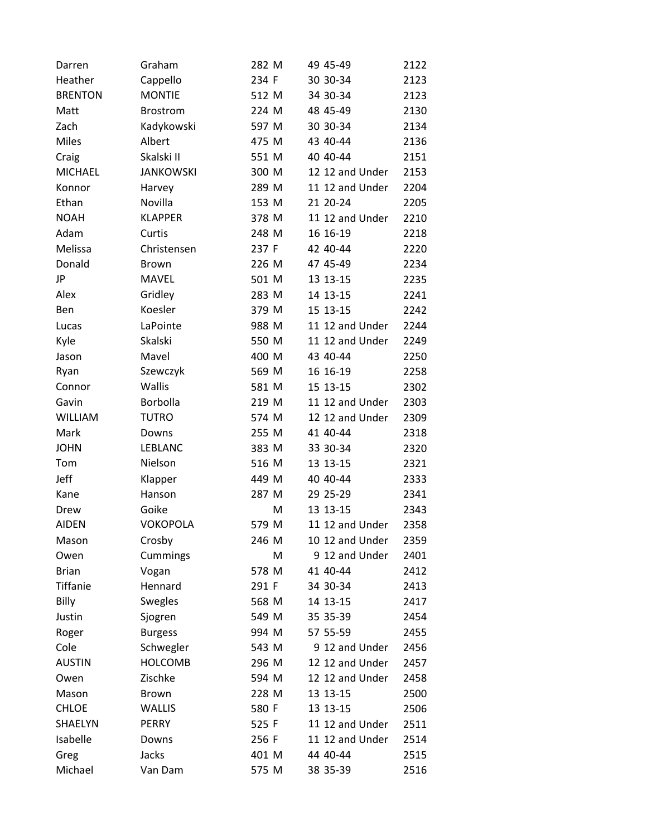| Darren          | Graham           | 282 M | 49 45-49        | 2122 |
|-----------------|------------------|-------|-----------------|------|
| Heather         | Cappello         | 234 F | 30 30-34        | 2123 |
| <b>BRENTON</b>  | <b>MONTIE</b>    | 512 M | 34 30-34        | 2123 |
| Matt            | <b>Brostrom</b>  | 224 M | 48 45-49        | 2130 |
| Zach            | Kadykowski       | 597 M | 30 30-34        | 2134 |
| <b>Miles</b>    | Albert           | 475 M | 43 40-44        | 2136 |
| Craig           | Skalski II       | 551 M | 40 40-44        | 2151 |
| <b>MICHAEL</b>  | <b>JANKOWSKI</b> | 300 M | 12 12 and Under | 2153 |
| Konnor          | Harvey           | 289 M | 11 12 and Under | 2204 |
| Ethan           | Novilla          | 153 M | 21 20-24        | 2205 |
| <b>NOAH</b>     | <b>KLAPPER</b>   | 378 M | 11 12 and Under | 2210 |
| Adam            | Curtis           | 248 M | 16 16-19        | 2218 |
| Melissa         | Christensen      | 237 F | 42 40-44        | 2220 |
| Donald          | <b>Brown</b>     | 226 M | 47 45-49        | 2234 |
| JP              | <b>MAVEL</b>     | 501 M | 13 13-15        | 2235 |
| Alex            | Gridley          | 283 M | 14 13-15        | 2241 |
| Ben             | Koesler          | 379 M | 15 13-15        | 2242 |
| Lucas           | LaPointe         | 988 M | 11 12 and Under | 2244 |
| Kyle            | Skalski          | 550 M | 11 12 and Under | 2249 |
| Jason           | Mavel            | 400 M | 43 40-44        | 2250 |
| Ryan            | Szewczyk         | 569 M | 16 16-19        | 2258 |
| Connor          | Wallis           | 581 M | 15 13-15        | 2302 |
| Gavin           | Borbolla         | 219 M | 11 12 and Under | 2303 |
| <b>WILLIAM</b>  | <b>TUTRO</b>     | 574 M | 12 12 and Under | 2309 |
| Mark            | Downs            | 255 M | 41 40-44        | 2318 |
| <b>JOHN</b>     | <b>LEBLANC</b>   | 383 M | 33 30-34        | 2320 |
| Tom             | Nielson          | 516 M | 13 13-15        | 2321 |
| Jeff            | Klapper          | 449 M | 40 40 - 44      | 2333 |
| Kane            | Hanson           | 287 M | 29 25-29        | 2341 |
| Drew            | Goike            | M     | 13 13-15        | 2343 |
| <b>AIDEN</b>    | <b>VOKOPOLA</b>  | 579 M | 11 12 and Under | 2358 |
| Mason           | Crosby           | 246 M | 10 12 and Under | 2359 |
| Owen            | Cummings         | м     | 9 12 and Under  | 2401 |
| <b>Brian</b>    | Vogan            | 578 M | 41 40-44        | 2412 |
| <b>Tiffanie</b> | Hennard          | 291 F | 34 30-34        | 2413 |
| Billy           | <b>Swegles</b>   | 568 M | 14 13-15        | 2417 |
| Justin          | Sjogren          | 549 M | 35 35-39        | 2454 |
| Roger           | <b>Burgess</b>   | 994 M | 57 55-59        | 2455 |
| Cole            | Schwegler        | 543 M | 9 12 and Under  | 2456 |
| <b>AUSTIN</b>   | <b>HOLCOMB</b>   | 296 M | 12 12 and Under | 2457 |
| Owen            | Zischke          | 594 M | 12 12 and Under | 2458 |
| Mason           | Brown            | 228 M | 13 13-15        | 2500 |
| <b>CHLOE</b>    | <b>WALLIS</b>    | 580 F | 13 13-15        | 2506 |
| SHAELYN         | PERRY            | 525 F | 11 12 and Under | 2511 |
| Isabelle        | Downs            | 256 F | 11 12 and Under | 2514 |
| Greg            | Jacks            | 401 M | 44 40-44        | 2515 |
| Michael         | Van Dam          | 575 M | 38 35-39        | 2516 |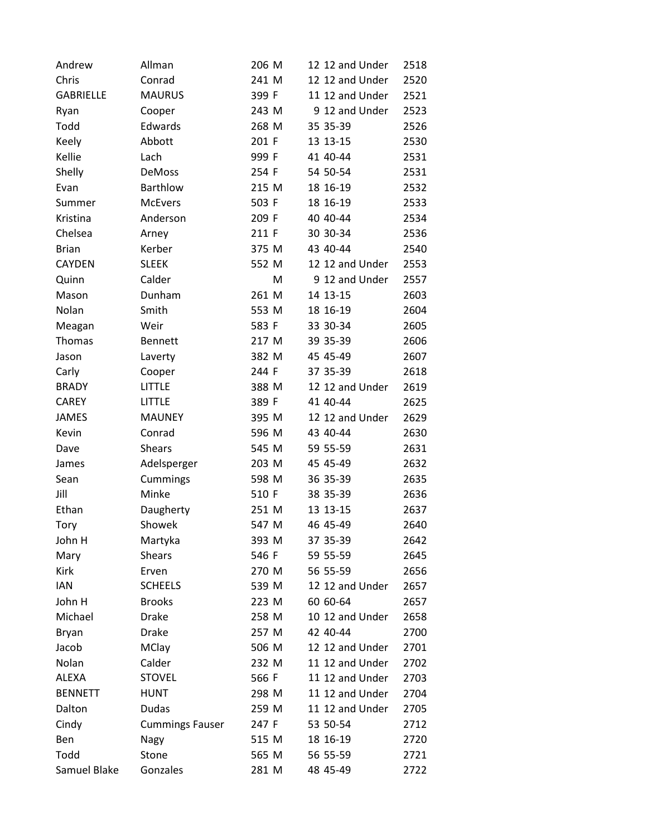| Andrew           | Allman                 | 206 M | 12 12 and Under | 2518 |
|------------------|------------------------|-------|-----------------|------|
| Chris            | Conrad                 | 241 M | 12 12 and Under | 2520 |
| <b>GABRIELLE</b> | <b>MAURUS</b>          | 399 F | 11 12 and Under | 2521 |
| Ryan             | Cooper                 | 243 M | 9 12 and Under  | 2523 |
| Todd             | Edwards                | 268 M | 35 35-39        | 2526 |
| Keely            | Abbott                 | 201 F | 13 13-15        | 2530 |
| Kellie           | Lach                   | 999 F | 41 40-44        | 2531 |
| Shelly           | DeMoss                 | 254 F | 54 50-54        | 2531 |
| Evan             | Barthlow               | 215 M | 18 16-19        | 2532 |
| Summer           | <b>McEvers</b>         | 503 F | 18 16-19        | 2533 |
| Kristina         | Anderson               | 209 F | 40 40-44        | 2534 |
| Chelsea          | Arney                  | 211 F | 30 30-34        | 2536 |
| <b>Brian</b>     | Kerber                 | 375 M | 43 40-44        | 2540 |
| <b>CAYDEN</b>    | <b>SLEEK</b>           | 552 M | 12 12 and Under | 2553 |
| Quinn            | Calder                 | M     | 9 12 and Under  | 2557 |
| Mason            | Dunham                 | 261 M | 14 13-15        | 2603 |
| Nolan            | Smith                  | 553 M | 18 16-19        | 2604 |
| Meagan           | Weir                   | 583 F | 33 30-34        | 2605 |
| Thomas           | <b>Bennett</b>         | 217 M | 39 35-39        | 2606 |
| Jason            | Laverty                | 382 M | 45 45-49        | 2607 |
| Carly            | Cooper                 | 244 F | 37 35-39        | 2618 |
| <b>BRADY</b>     | LITTLE                 | 388 M | 12 12 and Under | 2619 |
| <b>CAREY</b>     | <b>LITTLE</b>          | 389 F | 41 40-44        | 2625 |
| <b>JAMES</b>     | <b>MAUNEY</b>          | 395 M | 12 12 and Under | 2629 |
| Kevin            | Conrad                 | 596 M | 43 40-44        | 2630 |
| Dave             | <b>Shears</b>          | 545 M | 59 55-59        | 2631 |
| James            | Adelsperger            | 203 M | 45 45-49        | 2632 |
| Sean             | Cummings               | 598 M | 36 35-39        | 2635 |
| Jill             | Minke                  | 510 F | 38 35-39        | 2636 |
| Ethan            | Daugherty              | 251 M | 13 13-15        | 2637 |
| <b>Tory</b>      | Showek                 | 547 M | 46 45-49        | 2640 |
| John H           | Martyka                | 393 M | 37 35-39        | 2642 |
| Mary             | <b>Shears</b>          | 546 F | 59 55-59        | 2645 |
| Kirk             | Erven                  | 270 M | 56 55-59        | 2656 |
| <b>IAN</b>       | <b>SCHEELS</b>         | 539 M | 12 12 and Under | 2657 |
| John H           | <b>Brooks</b>          | 223 M | 60 60-64        | 2657 |
| Michael          | <b>Drake</b>           | 258 M | 10 12 and Under | 2658 |
| <b>Bryan</b>     | Drake                  | 257 M | 42 40-44        | 2700 |
| Jacob            | <b>MClay</b>           | 506 M | 12 12 and Under | 2701 |
| Nolan            | Calder                 | 232 M | 11 12 and Under | 2702 |
| <b>ALEXA</b>     | <b>STOVEL</b>          | 566 F | 11 12 and Under | 2703 |
| <b>BENNETT</b>   | <b>HUNT</b>            | 298 M | 11 12 and Under | 2704 |
| Dalton           | <b>Dudas</b>           | 259 M | 11 12 and Under | 2705 |
| Cindy            | <b>Cummings Fauser</b> | 247 F | 53 50-54        | 2712 |
| Ben              | Nagy                   | 515 M | 18 16-19        | 2720 |
| Todd             | Stone                  | 565 M | 56 55-59        | 2721 |
| Samuel Blake     | Gonzales               | 281 M | 48 45-49        | 2722 |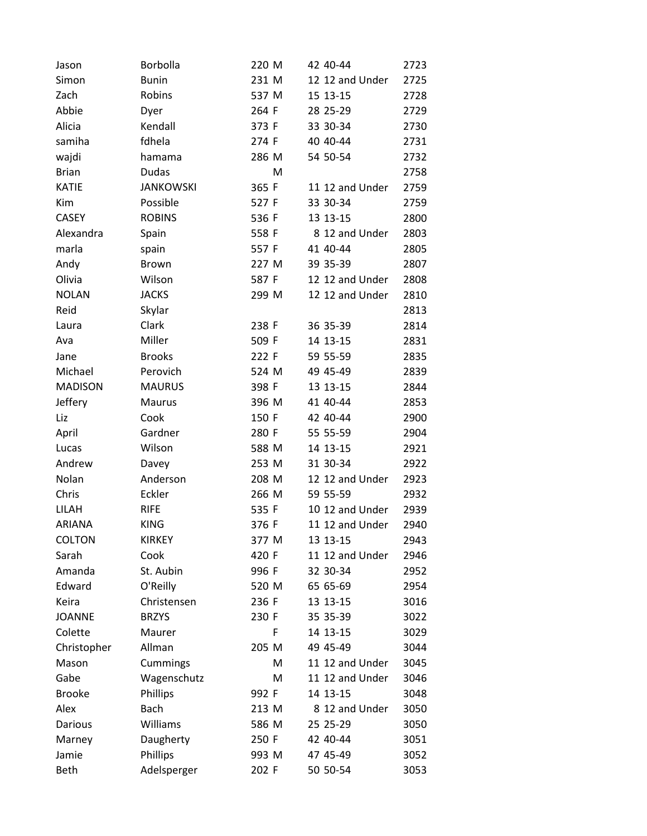| Jason          | Borbolla         | 220 M | 42 40-44        | 2723 |
|----------------|------------------|-------|-----------------|------|
| Simon          | <b>Bunin</b>     | 231 M | 12 12 and Under | 2725 |
| Zach           | Robins           | 537 M | 15 13-15        | 2728 |
| Abbie          | Dyer             | 264 F | 28 25-29        | 2729 |
| Alicia         | Kendall          | 373 F | 33 30-34        | 2730 |
| samiha         | fdhela           | 274 F | 40 40-44        | 2731 |
| wajdi          | hamama           | 286 M | 54 50-54        | 2732 |
| <b>Brian</b>   | <b>Dudas</b>     | Μ     |                 | 2758 |
| <b>KATIE</b>   | <b>JANKOWSKI</b> | 365 F | 11 12 and Under | 2759 |
| Kim            | Possible         | 527 F | 33 30-34        | 2759 |
| <b>CASEY</b>   | <b>ROBINS</b>    | 536 F | 13 13-15        | 2800 |
| Alexandra      | Spain            | 558 F | 8 12 and Under  | 2803 |
| marla          | spain            | 557 F | 41 40-44        | 2805 |
| Andy           | <b>Brown</b>     | 227 M | 39 35-39        | 2807 |
| Olivia         | Wilson           | 587 F | 12 12 and Under | 2808 |
| <b>NOLAN</b>   | <b>JACKS</b>     | 299 M | 12 12 and Under | 2810 |
| Reid           | Skylar           |       |                 | 2813 |
| Laura          | Clark            | 238 F | 36 35-39        | 2814 |
| Ava            | Miller           | 509 F | 14 13-15        | 2831 |
| Jane           | <b>Brooks</b>    | 222 F | 59 55-59        | 2835 |
| Michael        | Perovich         | 524 M | 49 45-49        | 2839 |
| <b>MADISON</b> | <b>MAURUS</b>    | 398 F | 13 13-15        | 2844 |
| Jeffery        | Maurus           | 396 M | 41 40-44        | 2853 |
| Liz            | Cook             | 150 F | 42 40-44        | 2900 |
| April          | Gardner          | 280 F | 55 55-59        | 2904 |
| Lucas          | Wilson           | 588 M | 14 13-15        | 2921 |
| Andrew         | Davey            | 253 M | 31 30-34        | 2922 |
| Nolan          | Anderson         | 208 M | 12 12 and Under | 2923 |
| Chris          | Eckler           | 266 M | 59 55-59        | 2932 |
| LILAH          | <b>RIFE</b>      | 535 F | 10 12 and Under | 2939 |
| <b>ARIANA</b>  | <b>KING</b>      | 376 F | 11 12 and Under | 2940 |
| <b>COLTON</b>  | <b>KIRKEY</b>    | 377 M | 13 13-15        | 2943 |
| Sarah          | Cook             | 420 F | 11 12 and Under | 2946 |
| Amanda         | St. Aubin        | 996 F | 32 30-34        | 2952 |
| Edward         | O'Reilly         | 520 M | 65 65-69        | 2954 |
| Keira          | Christensen      | 236 F | 13 13-15        | 3016 |
| <b>JOANNE</b>  | <b>BRZYS</b>     | 230 F | 35 35-39        | 3022 |
| Colette        | Maurer           | F     | 14 13-15        | 3029 |
| Christopher    | Allman           | 205 M | 49 45-49        | 3044 |
| Mason          | Cummings         | м     | 11 12 and Under | 3045 |
| Gabe           | Wagenschutz      | M     | 11 12 and Under | 3046 |
| <b>Brooke</b>  | <b>Phillips</b>  | 992 F | 14 13-15        | 3048 |
| Alex           | Bach             | 213 M | 8 12 and Under  | 3050 |
| Darious        | Williams         | 586 M | 25 25-29        | 3050 |
| Marney         | Daugherty        | 250 F | 42 40-44        | 3051 |
| Jamie          | Phillips         | 993 M | 47 45-49        | 3052 |
| <b>Beth</b>    | Adelsperger      | 202 F | 50 50-54        | 3053 |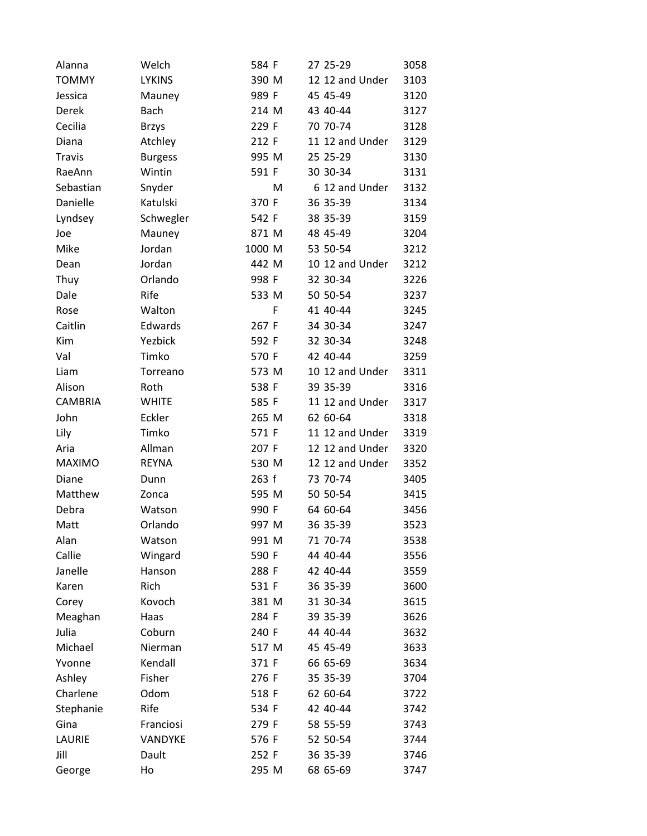| Alanna         | Welch          | 584 F  | 27 25-29        | 3058 |
|----------------|----------------|--------|-----------------|------|
| <b>TOMMY</b>   | <b>LYKINS</b>  | 390 M  | 12 12 and Under | 3103 |
| Jessica        | Mauney         | 989 F  | 45 45-49        | 3120 |
| Derek          | <b>Bach</b>    | 214 M  | 43 40-44        | 3127 |
| Cecilia        | <b>Brzys</b>   | 229 F  | 70 70-74        | 3128 |
| Diana          | Atchley        | 212 F  | 11 12 and Under | 3129 |
| <b>Travis</b>  | <b>Burgess</b> | 995 M  | 25 25-29        | 3130 |
| RaeAnn         | Wintin         | 591 F  | 30 30-34        | 3131 |
| Sebastian      | Snyder         | м      | 6 12 and Under  | 3132 |
| Danielle       | Katulski       | 370 F  | 36 35-39        | 3134 |
| Lyndsey        | Schwegler      | 542 F  | 38 35-39        | 3159 |
| Joe            | Mauney         | 871 M  | 48 45-49        | 3204 |
| Mike           | Jordan         | 1000 M | 53 50-54        | 3212 |
| Dean           | Jordan         | 442 M  | 10 12 and Under | 3212 |
| Thuy           | Orlando        | 998 F  | 32 30-34        | 3226 |
| Dale           | Rife           | 533 M  | 50 50-54        | 3237 |
| Rose           | Walton         | F      | 41 40-44        | 3245 |
| Caitlin        | Edwards        | 267 F  | 34 30-34        | 3247 |
| Kim            | Yezbick        | 592 F  | 32 30-34        | 3248 |
| Val            | Timko          | 570 F  | 42 40-44        | 3259 |
| Liam           | Torreano       | 573 M  | 10 12 and Under | 3311 |
| Alison         | Roth           | 538 F  | 39 35-39        | 3316 |
| <b>CAMBRIA</b> | <b>WHITE</b>   | 585 F  | 11 12 and Under | 3317 |
| John           | Eckler         | 265 M  | 62 60-64        | 3318 |
| Lily           | Timko          | 571 F  | 11 12 and Under | 3319 |
| Aria           | Allman         | 207 F  | 12 12 and Under | 3320 |
| <b>MAXIMO</b>  | <b>REYNA</b>   | 530 M  | 12 12 and Under | 3352 |
| Diane          | Dunn           | 263 f  | 73 70-74        | 3405 |
| Matthew        | Zonca          | 595 M  | 50 50-54        | 3415 |
| Debra          | Watson         | 990 F  | 64 60-64        | 3456 |
| Matt           | Orlando        | 997 M  | 36 35-39        | 3523 |
| Alan           | Watson         | 991 M  | 71 70-74        | 3538 |
| Callie         | Wingard        | 590 F  | 44 40-44        | 3556 |
| Janelle        | Hanson         | 288 F  | 42 40-44        | 3559 |
| Karen          | Rich           | 531 F  | 36 35-39        | 3600 |
| Corey          | Kovoch         | 381 M  | 31 30-34        | 3615 |
| Meaghan        | Haas           | 284 F  | 39 35-39        | 3626 |
| Julia          | Coburn         | 240 F  | 44 40-44        | 3632 |
| Michael        | Nierman        | 517 M  | 45 45-49        | 3633 |
| Yvonne         | Kendall        | 371 F  | 66 65-69        | 3634 |
| Ashley         | Fisher         | 276 F  | 35 35-39        | 3704 |
| Charlene       | Odom           | 518 F  | 62 60-64        | 3722 |
| Stephanie      | Rife           | 534 F  | 42 40-44        | 3742 |
| Gina           | Franciosi      | 279 F  | 58 55-59        | 3743 |
| LAURIE         | VANDYKE        | 576 F  | 52 50-54        | 3744 |
| Jill           | Dault          | 252 F  | 36 35-39        | 3746 |
| George         | Ho             | 295 M  | 68 65-69        | 3747 |